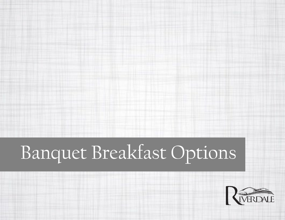# Banquet Breakfast Options